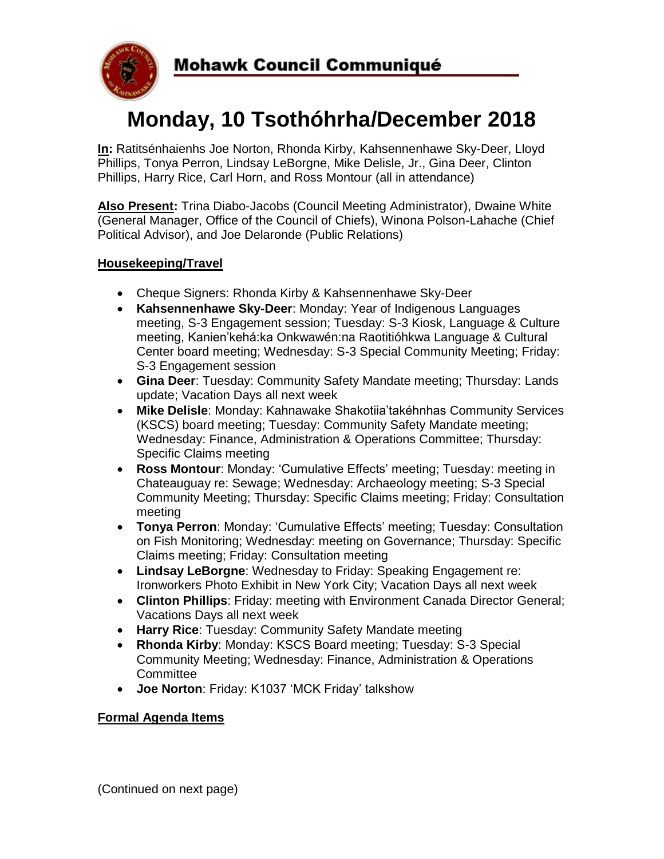

# **Monday, 10 Tsothóhrha/December 2018**

**In:** Ratitsénhaienhs Joe Norton, Rhonda Kirby, Kahsennenhawe Sky-Deer, Lloyd Phillips, Tonya Perron, Lindsay LeBorgne, Mike Delisle, Jr., Gina Deer, Clinton Phillips, Harry Rice, Carl Horn, and Ross Montour (all in attendance)

**Also Present:** Trina Diabo-Jacobs (Council Meeting Administrator), Dwaine White (General Manager, Office of the Council of Chiefs), Winona Polson-Lahache (Chief Political Advisor), and Joe Delaronde (Public Relations)

### **Housekeeping/Travel**

- Cheque Signers: Rhonda Kirby & Kahsennenhawe Sky-Deer
- **Kahsennenhawe Sky-Deer**: Monday: Year of Indigenous Languages meeting, S-3 Engagement session; Tuesday: S-3 Kiosk, Language & Culture meeting, Kanien'kehá:ka Onkwawén:na Raotitióhkwa Language & Cultural Center board meeting; Wednesday: S-3 Special Community Meeting; Friday: S-3 Engagement session
- **Gina Deer**: Tuesday: Community Safety Mandate meeting; Thursday: Lands update; Vacation Days all next week
- **Mike Delisle**: Monday: Kahnawake Shakotiia'takéhnhas Community Services (KSCS) board meeting; Tuesday: Community Safety Mandate meeting; Wednesday: Finance, Administration & Operations Committee; Thursday: Specific Claims meeting
- **Ross Montour**: Monday: 'Cumulative Effects' meeting; Tuesday: meeting in Chateauguay re: Sewage; Wednesday: Archaeology meeting; S-3 Special Community Meeting; Thursday: Specific Claims meeting; Friday: Consultation meeting
- **Tonya Perron**: Monday: 'Cumulative Effects' meeting; Tuesday: Consultation on Fish Monitoring; Wednesday: meeting on Governance; Thursday: Specific Claims meeting; Friday: Consultation meeting
- **Lindsay LeBorgne**: Wednesday to Friday: Speaking Engagement re: Ironworkers Photo Exhibit in New York City; Vacation Days all next week
- **Clinton Phillips**: Friday: meeting with Environment Canada Director General; Vacations Days all next week
- **Harry Rice**: Tuesday: Community Safety Mandate meeting
- **Rhonda Kirby**: Monday: KSCS Board meeting; Tuesday: S-3 Special Community Meeting; Wednesday: Finance, Administration & Operations **Committee**
- **Joe Norton**: Friday: K1037 'MCK Friday' talkshow

#### **Formal Agenda Items**

(Continued on next page)